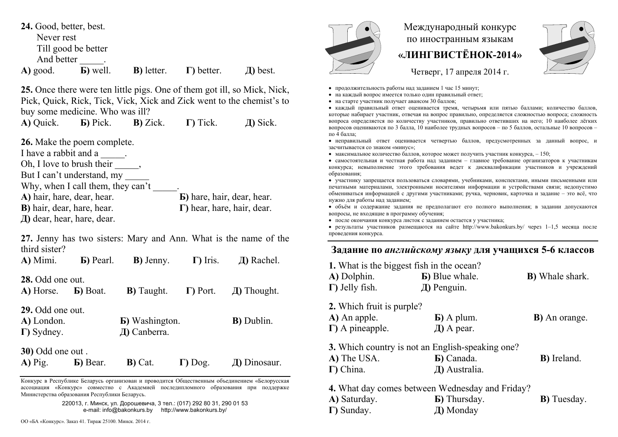| 24. Good, better, best. |                     |                    |                    |          |
|-------------------------|---------------------|--------------------|--------------------|----------|
| Never rest              |                     |                    |                    |          |
|                         | Till good be better |                    |                    |          |
| And better              |                     |                    |                    |          |
| A) good.                | <b>b</b> ) well.    | <b>B</b> ) letter. | $\Gamma$ ) better. | Д) best. |

**25.** Once there were ten little pigs. One of them got ill, so Mick, Nick, Pick, Quick, Rick, Tick, Vick, Xick and Zick went to the chemist's to buy some medicine. Who was ill?

**A)** Quick. **Б)** Pick. **В)** Zick. **Г)** Tick. **Д)** Sick.

**26.** Make the poem complete.

I have a rabbit and a \_\_\_\_\_.

Oh, I love to brush their  $\qquad$ ,

But I can't understand, my

Why, when I call them, they can't \_\_\_\_\_. **A)** hair, hare, dear, hear. **Б)** hare, hair, dear, hear. **B)** hair, dear, hare, hear.

**Г)** hear, hare, hair, dear.

**Д)** dear, hear, hare, dear.

**27.** Jenny has two sisters: Mary and Ann. What is the name of the third sister?

**A)** Mimi. **Б)** Pearl. **B)** Jenny. **Г)** Iris. **Д)** Rachel. **28.** Odd one out. **А)** Horse. **Б)** Boat. **В)** Taught. **Г)** Port. **Д)** Thought. **29.** Odd one out. **А)** London. **Б)** Washington. **В)** Dublin. **Г)** Sydney. **Д)** Canberra. **30)** Odd one out .

| $A)$ Pig. | <b>Б</b> ) Bear. | $B)$ Cat. | $\Gamma$ ) Dog. | $\pi$ ) Dinosaur. |
|-----------|------------------|-----------|-----------------|-------------------|
|           |                  |           |                 |                   |

Конкурс <sup>в</sup> Республике Беларусь организован <sup>и</sup> проводится Общественным объединением «Белорусская ассоциация «Конкурс» совместно <sup>с</sup> Академией последипломного образования при поддержке Министерства образования Республики Беларусь.

> 220013, <sup>г</sup>. Минск, ул. Дорошевича, 3 тел.: (017) 292 80 31, 290 01 53 e-mail: info@bakonkurs.by http://www.bakonkurs.by/



**Г)** Sunday.

## Международный конкурс по иностранным языкам **«ЛИНГВИСТЁНОК-2014»**



Четверг, 17 апреля 2014 г.

- продолжительность работы над заданием 1 час 15 минут;
- на каждый вопрос имеется только один правильный ответ;
- на старте участник получает авансом 30 баллов;

 каждый правильный ответ оценивается тремя, четырьмя или пятью баллами; количество баллов, которые набирает участник, отвечая на вопрос правильно, определяется сложностью вопроса; сложность вопроса определяется по количеству участников, правильно ответивших на него; 10 наиболее лёгких вопросов оцениваются по 3 балла, 10 наиболее трудных вопросов – по 5 баллов, остальные 10 вопросов – по 4 балла;

 неправильный ответ оценивается четвертью баллов, предусмотренных за данный вопрос, <sup>и</sup> засчитывается со знаком «минус»;

• максимальное количество баллов, которое может получить участник конкурса,  $-150$ ;

 самостоятельная и честная работа над заданием – главное требование организаторов <sup>к</sup> участникам конкурса; невыполнение этого требования ведет <sup>к</sup> дисквалификации участников <sup>и</sup> учреждений образования;

 участнику запрещается пользоваться словарями, учебниками, конспектами, иными письменными или печатными материалами, электронными носителями информации <sup>и</sup> устройствами связи; недопустимо обмениваться информацией <sup>с</sup> другими участниками; ручка, черновик, карточка <sup>и</sup> задание – это всё, что нужно для работы над заданием;

 объём <sup>и</sup> содержание задания не предполагают его полного выполнения; <sup>в</sup> задании допускаются вопросы, не входящие <sup>в</sup> программу обучения;

после окончания конкурса листок с заданием остается у участника;

 результаты участников размещаются на сайте http://www.bakonkurs.by/ через 1–1,5 месяца после проведения конкурса.

## **Задание по** *английскому языку* **для учащихся 5-6 классов**

**1.** What is the biggest fish in the ocean? **А)** Dolphin. **Б)** Blue whale. **В)** Whale shark. **Г)** Jelly fish. **Д)** Penguin. **2.** Which fruit is purple? **А)** An apple. **Б)** A plum. **В)** An orange. **Г)** A pineapple. **Д)** A pear. **3.** Which country is not an English-speaking one? **А)** The USA. **Б)** Canada. **В)** Ireland. **Г)** China. **Д)** Australia. **4.** What day comes between Wednesday and Friday? **A)** Saturday. **Б)** Thursday. **B)** Tuesday.

**Д)** Monday